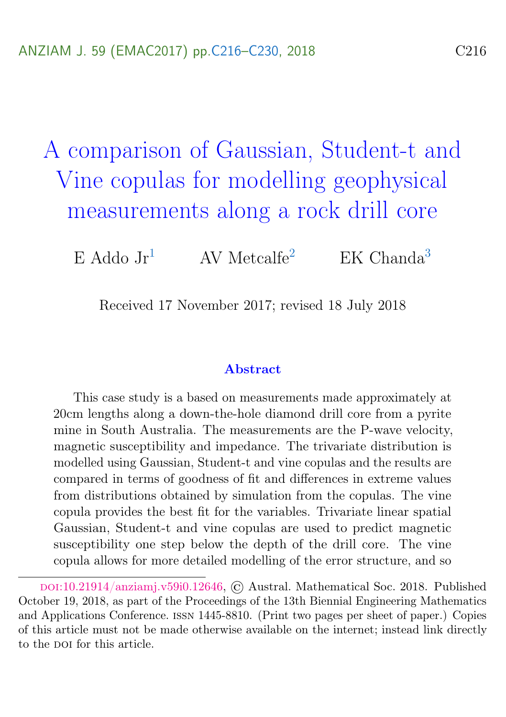<span id="page-0-0"></span>A comparison of Gaussian, Student-t and Vine copulas for modelling geophysical measurements along a rock drill core

E Addo Jr<sup>[1](#page-14-1)</sup> AV Metcalfe<sup>[2](#page-14-2)</sup> EK Chanda<sup>[3](#page-14-0)</sup>

Received 17 November 2017; revised 18 July 2018

#### Abstract

This case study is a based on measurements made approximately at 20cm lengths along a down-the-hole diamond drill core from a pyrite mine in South Australia. The measurements are the P-wave velocity, magnetic susceptibility and impedance. The trivariate distribution is modelled using Gaussian, Student-t and vine copulas and the results are compared in terms of goodness of fit and differences in extreme values from distributions obtained by simulation from the copulas. The vine copula provides the best fit for the variables. Trivariate linear spatial Gaussian, Student-t and vine copulas are used to predict magnetic susceptibility one step below the depth of the drill core. The vine copula allows for more detailed modelling of the error structure, and so

doi:[10.21914/anziamj.v59i0.12646,](https://doi.org/10.21914/anziamj.v59i0.12646) © Austral. Mathematical Soc. 2018. Published October 19, 2018, as part of the Proceedings of the 13th Biennial Engineering Mathematics and Applications Conference. issn 1445-8810. (Print two pages per sheet of paper.) Copies of this article must not be made otherwise available on the internet; instead link directly to the pot for this article.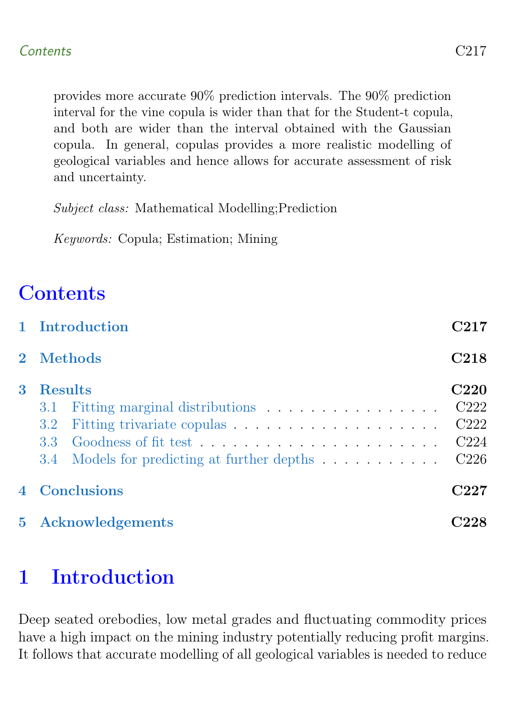provides more accurate 90% prediction intervals. The 90% prediction interval for the vine copula is wider than that for the Student-t copula, and both are wider than the interval obtained with the Gaussian copula. In general, copulas provides a more realistic modelling of geological variables and hence allows for accurate assessment of risk and uncertainty.

Subject class: Mathematical Modelling;Prediction

Keywords: Copula; Estimation; Mining

# **Contents**

|                | 1 Introduction                                                                     | C217                                                                                        |
|----------------|------------------------------------------------------------------------------------|---------------------------------------------------------------------------------------------|
|                | 2 Methods                                                                          | C <sub>218</sub>                                                                            |
| 3              | <b>Results</b><br>3.1<br>3.2<br>3.3<br>3.4 Models for predicting at further depths | <b>C220</b><br>C <sub>222</sub><br>C <sub>222</sub><br>C <sub>224</sub><br>C <sub>226</sub> |
| $\overline{4}$ | <b>Conclusions</b>                                                                 | C227                                                                                        |
|                | 5 Acknowledgements                                                                 |                                                                                             |

# <span id="page-1-0"></span>1 Introduction

Deep seated orebodies, low metal grades and fluctuating commodity prices have a high impact on the mining industry potentially reducing profit margins. It follows that accurate modelling of all geological variables is needed to reduce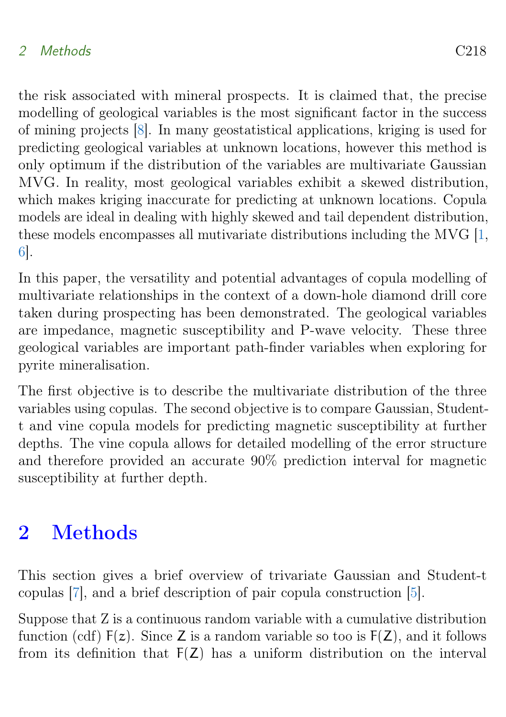### <span id="page-2-1"></span>2 Methods C218

the risk associated with mineral prospects. It is claimed that, the precise modelling of geological variables is the most significant factor in the success of mining projects [\[8\]](#page-13-0). In many geostatistical applications, kriging is used for predicting geological variables at unknown locations, however this method is only optimum if the distribution of the variables are multivariate Gaussian MVG. In reality, most geological variables exhibit a skewed distribution, which makes kriging inaccurate for predicting at unknown locations. Copula models are ideal in dealing with highly skewed and tail dependent distribution, these models encompasses all mutivariate distributions including the MVG [\[1,](#page-12-1) [6\]](#page-13-1).

In this paper, the versatility and potential advantages of copula modelling of multivariate relationships in the context of a down-hole diamond drill core taken during prospecting has been demonstrated. The geological variables are impedance, magnetic susceptibility and P-wave velocity. These three geological variables are important path-finder variables when exploring for pyrite mineralisation.

The first objective is to describe the multivariate distribution of the three variables using copulas. The second objective is to compare Gaussian, Studentt and vine copula models for predicting magnetic susceptibility at further depths. The vine copula allows for detailed modelling of the error structure and therefore provided an accurate 90% prediction interval for magnetic susceptibility at further depth.

## <span id="page-2-0"></span>2 Methods

This section gives a brief overview of trivariate Gaussian and Student-t copulas [\[7\]](#page-13-2), and a brief description of pair copula construction [\[5\]](#page-13-3).

Suppose that Z is a continuous random variable with a cumulative distribution function (cdf)  $F(z)$ . Since Z is a random variable so too is  $F(Z)$ , and it follows from its definition that  $F(Z)$  has a uniform distribution on the interval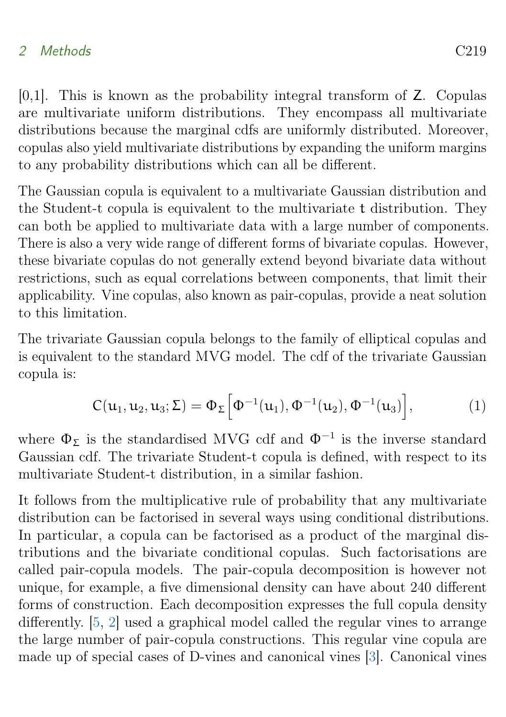### <span id="page-3-0"></span>2 Methods C219

[0,1]. This is known as the probability integral transform of Z. Copulas are multivariate uniform distributions. They encompass all multivariate distributions because the marginal cdfs are uniformly distributed. Moreover, copulas also yield multivariate distributions by expanding the uniform margins to any probability distributions which can all be different.

The Gaussian copula is equivalent to a multivariate Gaussian distribution and the Student-t copula is equivalent to the multivariate t distribution. They can both be applied to multivariate data with a large number of components. There is also a very wide range of different forms of bivariate copulas. However, these bivariate copulas do not generally extend beyond bivariate data without restrictions, such as equal correlations between components, that limit their applicability. Vine copulas, also known as pair-copulas, provide a neat solution to this limitation.

The trivariate Gaussian copula belongs to the family of elliptical copulas and is equivalent to the standard MVG model. The cdf of the trivariate Gaussian copula is:

$$
C(u_1, u_2, u_3; \Sigma) = \Phi_{\Sigma} \Big[ \Phi^{-1}(u_1), \Phi^{-1}(u_2), \Phi^{-1}(u_3) \Big], \tag{1}
$$

where  $\Phi_{\Sigma}$  is the standardised MVG cdf and  $\Phi^{-1}$  is the inverse standard Gaussian cdf. The trivariate Student-t copula is defined, with respect to its multivariate Student-t distribution, in a similar fashion.

It follows from the multiplicative rule of probability that any multivariate distribution can be factorised in several ways using conditional distributions. In particular, a copula can be factorised as a product of the marginal distributions and the bivariate conditional copulas. Such factorisations are called pair-copula models. The pair-copula decomposition is however not unique, for example, a five dimensional density can have about 240 different forms of construction. Each decomposition expresses the full copula density differently. [\[5,](#page-13-3) [2\]](#page-13-4) used a graphical model called the regular vines to arrange the large number of pair-copula constructions. This regular vine copula are made up of special cases of D-vines and canonical vines [\[3\]](#page-13-5). Canonical vines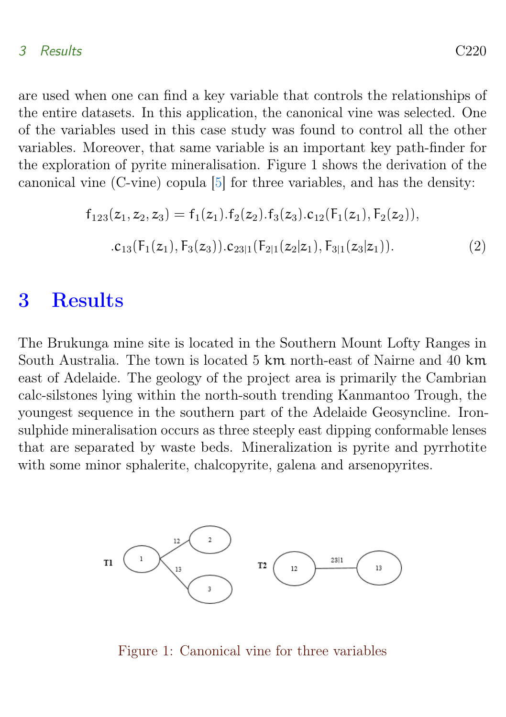#### <span id="page-4-1"></span>3 Results C220

are used when one can find a key variable that controls the relationships of the entire datasets. In this application, the canonical vine was selected. One of the variables used in this case study was found to control all the other variables. Moreover, that same variable is an important key path-finder for the exploration of pyrite mineralisation. Figure 1 shows the derivation of the canonical vine (C-vine) copula [\[5\]](#page-13-3) for three variables, and has the density:

$$
f_{123}(z_1, z_2, z_3) = f_1(z_1). f_2(z_2). f_3(z_3). c_{12}(F_1(z_1), F_2(z_2)),
$$
  
. 
$$
c_{13}(F_1(z_1), F_3(z_3)). c_{23|1}(F_{2|1}(z_2|z_1), F_{3|1}(z_3|z_1)).
$$
 (2)

## <span id="page-4-0"></span>3 Results

The Brukunga mine site is located in the Southern Mount Lofty Ranges in South Australia. The town is located 5 km north-east of Nairne and 40 km east of Adelaide. The geology of the project area is primarily the Cambrian calc-silstones lying within the north-south trending Kanmantoo Trough, the youngest sequence in the southern part of the Adelaide Geosyncline. Ironsulphide mineralisation occurs as three steeply east dipping conformable lenses that are separated by waste beds. Mineralization is pyrite and pyrrhotite with some minor sphalerite, chalcopyrite, galena and arsenopyrites.



#### Figure 1: Canonical vine for three variables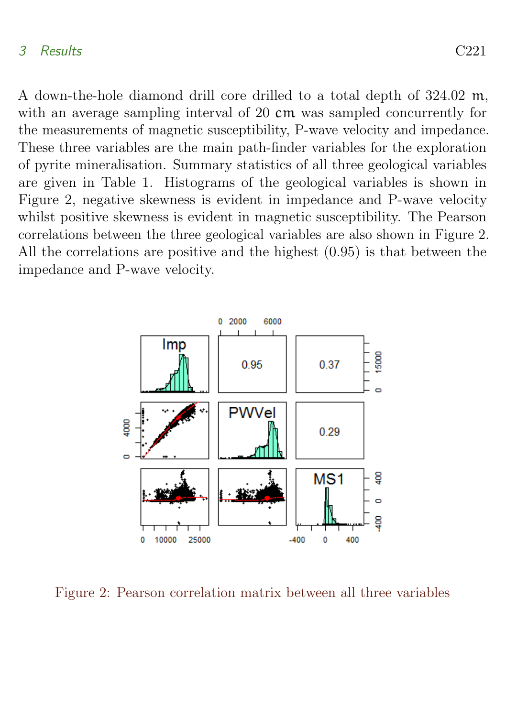#### 3 Results C221

A down-the-hole diamond drill core drilled to a total depth of 324.02 m, with an average sampling interval of 20 cm was sampled concurrently for the measurements of magnetic susceptibility, P-wave velocity and impedance. These three variables are the main path-finder variables for the exploration of pyrite mineralisation. Summary statistics of all three geological variables are given in Table 1. Histograms of the geological variables is shown in Figure 2, negative skewness is evident in impedance and P-wave velocity whilst positive skewness is evident in magnetic susceptibility. The Pearson correlations between the three geological variables are also shown in Figure 2. All the correlations are positive and the highest (0.95) is that between the impedance and P-wave velocity.



<span id="page-5-0"></span>Figure 2: Pearson correlation matrix between all three variables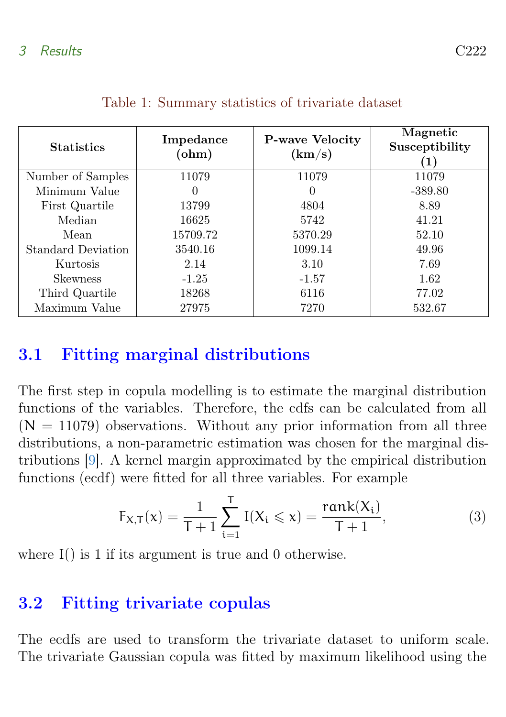<span id="page-6-1"></span>

| <b>Statistics</b>  | Impedance<br>$ohm$ | <b>P-wave Velocity</b><br>(km/s) | Magnetic<br>Susceptibility<br>1) |
|--------------------|--------------------|----------------------------------|----------------------------------|
| Number of Samples  | 11079              | 11079                            | 11079                            |
| Minimum Value      | 0                  | $\theta$                         | $-389.80$                        |
| First Quartile     | 13799              | 4804                             | 8.89                             |
| Median             | 16625              | 5742                             | 41.21                            |
| Mean               | 15709.72           | 5370.29                          | 52.10                            |
| Standard Deviation | 3540.16            | 1099.14                          | 49.96                            |
| Kurtosis           | 2.14               | 3.10                             | 7.69                             |
| <b>Skewness</b>    | $-1.25$            | $-1.57$                          | 1.62                             |
| Third Quartile     | 18268              | 6116                             | 77.02                            |
| Maximum Value      | 27975              | 7270                             | 532.67                           |

## 3.1 Fitting marginal distributions

The first step in copula modelling is to estimate the marginal distribution functions of the variables. Therefore, the cdfs can be calculated from all  $(N = 11079)$  observations. Without any prior information from all three distributions, a non-parametric estimation was chosen for the marginal distributions [\[9\]](#page-13-6). A kernel margin approximated by the empirical distribution functions (ecdf) were fitted for all three variables. For example

$$
F_{X,T}(x) = \frac{1}{T+1} \sum_{i=1}^{T} I(X_i \leq x) = \frac{\text{rank}(X_i)}{T+1},
$$
 (3)

where I() is 1 if its argument is true and 0 otherwise.

### <span id="page-6-0"></span>3.2 Fitting trivariate copulas

The ecdfs are used to transform the trivariate dataset to uniform scale. The trivariate Gaussian copula was fitted by maximum likelihood using the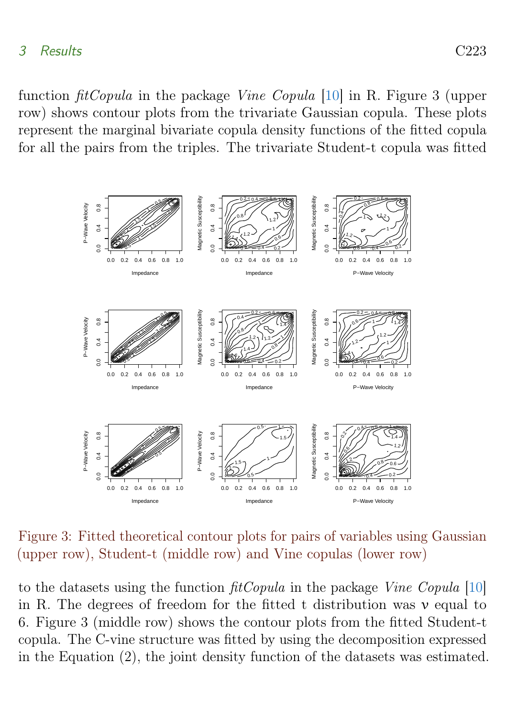<span id="page-7-0"></span>function fitCopula in the package Vine Copula [\[10\]](#page-14-3) in R. Figure 3 (upper row) shows contour plots from the trivariate Gaussian copula. These plots represent the marginal bivariate copula density functions of the fitted copula for all the pairs from the triples. The trivariate Student-t copula was fitted



Figure 3: Fitted theoretical contour plots for pairs of variables using Gaussian (upper row), Student-t (middle row) and Vine copulas (lower row)

to the datasets using the function fitCopula in the package Vine Copula [\[10\]](#page-14-3) in R. The degrees of freedom for the fitted t distribution was  $\nu$  equal to 6. Figure 3 (middle row) shows the contour plots from the fitted Student-t copula. The C-vine structure was fitted by using the decomposition expressed in the Equation (2), the joint density function of the datasets was estimated.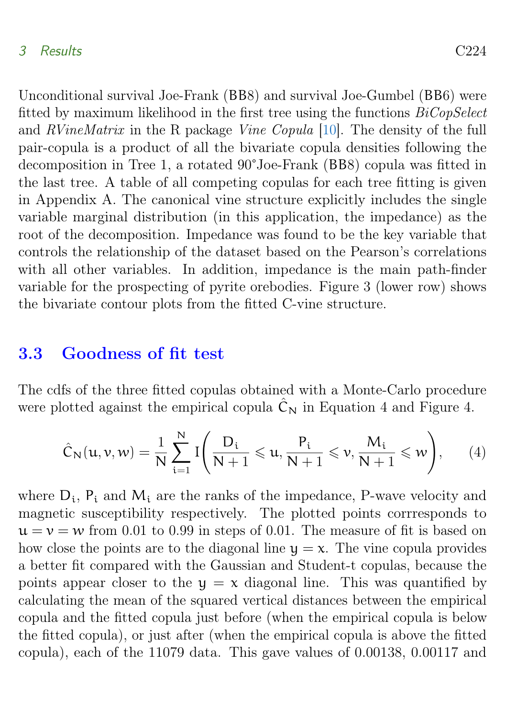#### <span id="page-8-1"></span>3 Results C224

Unconditional survival Joe-Frank (BB8) and survival Joe-Gumbel (BB6) were fitted by maximum likelihood in the first tree using the functions  $BiCopSelect$ and RVineMatrix in the R package Vine Copula [\[10\]](#page-14-3). The density of the full pair-copula is a product of all the bivariate copula densities following the decomposition in Tree 1, a rotated 90°Joe-Frank (BB8) copula was fitted in the last tree. A table of all competing copulas for each tree fitting is given in Appendix A. The canonical vine structure explicitly includes the single variable marginal distribution (in this application, the impedance) as the root of the decomposition. Impedance was found to be the key variable that controls the relationship of the dataset based on the Pearson's correlations with all other variables. In addition, impedance is the main path-finder variable for the prospecting of pyrite orebodies. Figure 3 (lower row) shows the bivariate contour plots from the fitted C-vine structure.

### <span id="page-8-0"></span>3.3 Goodness of fit test

The cdfs of the three fitted copulas obtained with a Monte-Carlo procedure were plotted against the empirical copula  $\hat{C}_N$  in Equation 4 and Figure 4.

$$
\hat{C}_N(u, v, w) = \frac{1}{N} \sum_{i=1}^N I\left(\frac{D_i}{N+1} \leqslant u, \frac{P_i}{N+1} \leqslant v, \frac{M_i}{N+1} \leqslant w\right), \qquad (4)
$$

where  $D_i$ ,  $P_i$  and  $M_i$  are the ranks of the impedance, P-wave velocity and magnetic susceptibility respectively. The plotted points corrresponds to  $u = v = w$  from 0.01 to 0.99 in steps of 0.01. The measure of fit is based on how close the points are to the diagonal line  $y = x$ . The vine copula provides a better fit compared with the Gaussian and Student-t copulas, because the points appear closer to the  $y = x$  diagonal line. This was quantified by calculating the mean of the squared vertical distances between the empirical copula and the fitted copula just before (when the empirical copula is below the fitted copula), or just after (when the empirical copula is above the fitted copula), each of the 11079 data. This gave values of 0.00138, 0.00117 and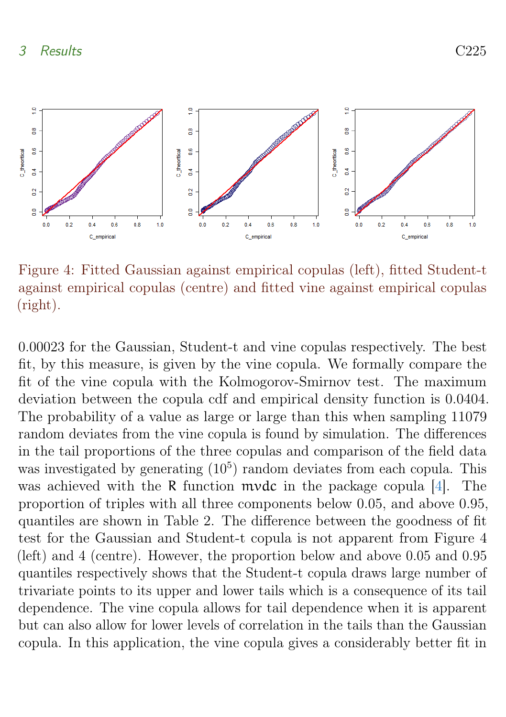<span id="page-9-0"></span>

Figure 4: Fitted Gaussian against empirical copulas (left), fitted Student-t against empirical copulas (centre) and fitted vine against empirical copulas (right).

0.00023 for the Gaussian, Student-t and vine copulas respectively. The best fit, by this measure, is given by the vine copula. We formally compare the fit of the vine copula with the Kolmogorov-Smirnov test. The maximum deviation between the copula cdf and empirical density function is 0.0404. The probability of a value as large or large than this when sampling 11079 random deviates from the vine copula is found by simulation. The differences in the tail proportions of the three copulas and comparison of the field data was investigated by generating  $(10^5)$  random deviates from each copula. This was achieved with the R function mvdc in the package copula [\[4\]](#page-13-7). The proportion of triples with all three components below 0.05, and above 0.95, quantiles are shown in Table 2. The difference between the goodness of fit test for the Gaussian and Student-t copula is not apparent from Figure 4 (left) and 4 (centre). However, the proportion below and above 0.05 and 0.95 quantiles respectively shows that the Student-t copula draws large number of trivariate points to its upper and lower tails which is a consequence of its tail dependence. The vine copula allows for tail dependence when it is apparent but can also allow for lower levels of correlation in the tails than the Gaussian copula. In this application, the vine copula gives a considerably better fit in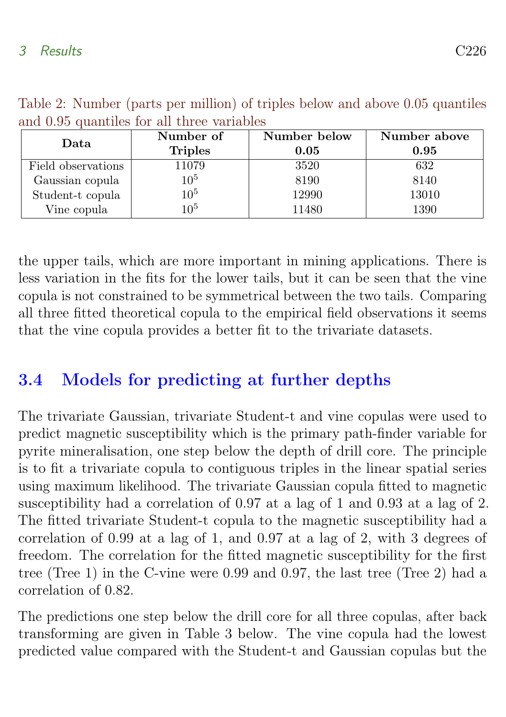| Data               | Number of      | Number below | Number above |
|--------------------|----------------|--------------|--------------|
|                    | <b>Triples</b> | 0.05         | 0.95         |
| Field observations | 11079          | 3520         | 632          |
| Gaussian copula    | $10^{5}$       | 8190         | 8140         |
| Student-t copula   | $10^5$         | 12990        | 13010        |
| Vine copula        | 105            | 11480        | 1390         |

Table 2: Number (parts per million) of triples below and above 0.05 quantiles and 0.95 quantiles for all three variables

the upper tails, which are more important in mining applications. There is less variation in the fits for the lower tails, but it can be seen that the vine copula is not constrained to be symmetrical between the two tails. Comparing all three fitted theoretical copula to the empirical field observations it seems that the vine copula provides a better fit to the trivariate datasets.

## <span id="page-10-0"></span>3.4 Models for predicting at further depths

The trivariate Gaussian, trivariate Student-t and vine copulas were used to predict magnetic susceptibility which is the primary path-finder variable for pyrite mineralisation, one step below the depth of drill core. The principle is to fit a trivariate copula to contiguous triples in the linear spatial series using maximum likelihood. The trivariate Gaussian copula fitted to magnetic susceptibility had a correlation of 0.97 at a lag of 1 and 0.93 at a lag of 2. The fitted trivariate Student-t copula to the magnetic susceptibility had a correlation of 0.99 at a lag of 1, and 0.97 at a lag of 2, with 3 degrees of freedom. The correlation for the fitted magnetic susceptibility for the first tree (Tree 1) in the C-vine were 0.99 and 0.97, the last tree (Tree 2) had a correlation of 0.82.

The predictions one step below the drill core for all three copulas, after back transforming are given in Table 3 below. The vine copula had the lowest predicted value compared with the Student-t and Gaussian copulas but the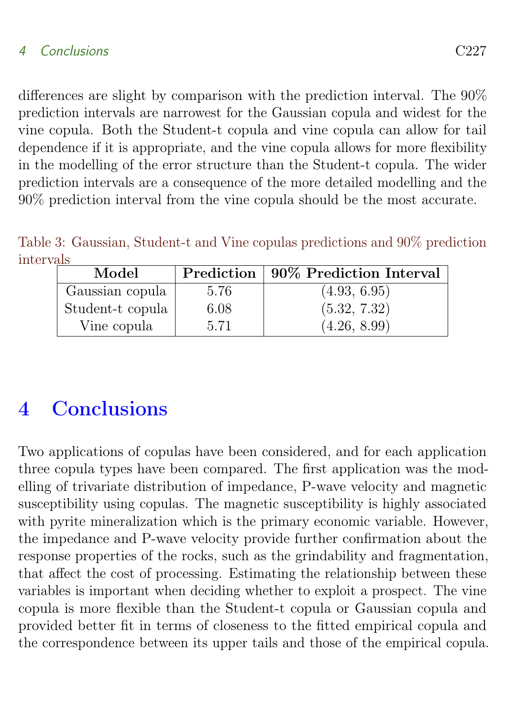#### 4 Conclusions C227

differences are slight by comparison with the prediction interval. The 90% prediction intervals are narrowest for the Gaussian copula and widest for the vine copula. Both the Student-t copula and vine copula can allow for tail dependence if it is appropriate, and the vine copula allows for more flexibility in the modelling of the error structure than the Student-t copula. The wider prediction intervals are a consequence of the more detailed modelling and the 90% prediction interval from the vine copula should be the most accurate.

Table 3: Gaussian, Student-t and Vine copulas predictions and 90% prediction intervals

| Model            |      | Prediction   90% Prediction Interval |
|------------------|------|--------------------------------------|
| Gaussian copula  | 5.76 | (4.93, 6.95)                         |
| Student-t copula | 6.08 | (5.32, 7.32)                         |
| Vine copula      | 5.71 | (4.26, 8.99)                         |

## <span id="page-11-0"></span>4 Conclusions

Two applications of copulas have been considered, and for each application three copula types have been compared. The first application was the modelling of trivariate distribution of impedance, P-wave velocity and magnetic susceptibility using copulas. The magnetic susceptibility is highly associated with pyrite mineralization which is the primary economic variable. However, the impedance and P-wave velocity provide further confirmation about the response properties of the rocks, such as the grindability and fragmentation, that affect the cost of processing. Estimating the relationship between these variables is important when deciding whether to exploit a prospect. The vine copula is more flexible than the Student-t copula or Gaussian copula and provided better fit in terms of closeness to the fitted empirical copula and the correspondence between its upper tails and those of the empirical copula.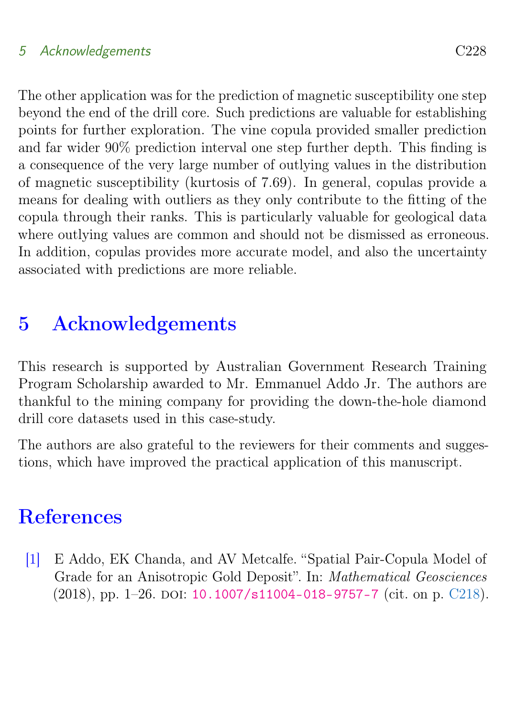### 5 Acknowledgements C228

The other application was for the prediction of magnetic susceptibility one step beyond the end of the drill core. Such predictions are valuable for establishing points for further exploration. The vine copula provided smaller prediction and far wider 90% prediction interval one step further depth. This finding is a consequence of the very large number of outlying values in the distribution of magnetic susceptibility (kurtosis of 7.69). In general, copulas provide a means for dealing with outliers as they only contribute to the fitting of the copula through their ranks. This is particularly valuable for geological data where outlying values are common and should not be dismissed as erroneous. In addition, copulas provides more accurate model, and also the uncertainty associated with predictions are more reliable.

# <span id="page-12-0"></span>5 Acknowledgements

This research is supported by Australian Government Research Training Program Scholarship awarded to Mr. Emmanuel Addo Jr. The authors are thankful to the mining company for providing the down-the-hole diamond drill core datasets used in this case-study.

The authors are also grateful to the reviewers for their comments and suggestions, which have improved the practical application of this manuscript.

## **References**

<span id="page-12-1"></span>[1] E Addo, EK Chanda, and AV Metcalfe. "Spatial Pair-Copula Model of Grade for an Anisotropic Gold Deposit". In: Mathematical Geosciences  $(2018)$ , pp. 1–26. DOI: [10.1007/s11004-018-9757-7](http://dx.doi.org/10.1007/s11004-018-9757-7) (cit. on p. [C218\)](#page-2-1).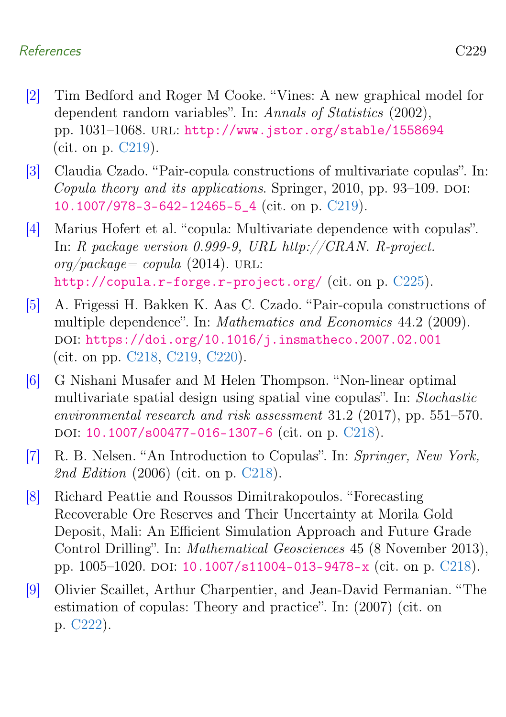### References C229

- <span id="page-13-4"></span>[2] Tim Bedford and Roger M Cooke. "Vines: A new graphical model for dependent random variables". In: Annals of Statistics (2002), pp. 1031–1068. url: <http://www.jstor.org/stable/1558694> (cit. on p. [C219\)](#page-3-0).
- <span id="page-13-5"></span>[3] Claudia Czado. "Pair-copula constructions of multivariate copulas". In: Copula theory and its applications. Springer,  $2010$ , pp. 93–109. DOI: [10.1007/978-3-642-12465-5\\_4](http://dx.doi.org/10.1007/978-3-642-12465-5_4) (cit. on p. [C219\)](#page-3-0).
- <span id="page-13-7"></span>[4] Marius Hofert et al. "copula: Multivariate dependence with copulas". In: R package version 0.999-9, URL http://CRAN. R-project.  $\frac{\partial q}{\partial a \, c}$  backage= copula (2014). URL: <http://copula.r-forge.r-project.org/> (cit. on p. [C225\)](#page-9-0).
- <span id="page-13-3"></span>[5] A. Frigessi H. Bakken K. Aas C. Czado. "Pair-copula constructions of multiple dependence". In: Mathematics and Economics 44.2 (2009). doi: [https://doi.org/10.1016/j.insmatheco.2007.02.001](http://dx.doi.org/https://doi.org/10.1016/j.insmatheco.2007.02.001) (cit. on pp. [C218,](#page-2-1) [C219,](#page-3-0) [C220\)](#page-4-1).
- <span id="page-13-1"></span>[6] G Nishani Musafer and M Helen Thompson. "Non-linear optimal multivariate spatial design using spatial vine copulas". In: Stochastic environmental research and risk assessment 31.2 (2017), pp. 551–570. DOI: [10.1007/s00477-016-1307-6](http://dx.doi.org/10.1007/s00477-016-1307-6) (cit. on p. [C218\)](#page-2-1).
- <span id="page-13-2"></span>[7] R. B. Nelsen. "An Introduction to Copulas". In: Springer, New York, 2nd Edition (2006) (cit. on p. [C218\)](#page-2-1).
- <span id="page-13-0"></span>[8] Richard Peattie and Roussos Dimitrakopoulos. "Forecasting Recoverable Ore Reserves and Their Uncertainty at Morila Gold Deposit, Mali: An Efficient Simulation Approach and Future Grade Control Drilling". In: Mathematical Geosciences 45 (8 November 2013), pp. 1005–1020. doi: [10.1007/s11004-013-9478-x](http://dx.doi.org/10.1007/s11004-013-9478-x) (cit. on p. [C218\)](#page-2-1).
- <span id="page-13-6"></span>[9] Olivier Scaillet, Arthur Charpentier, and Jean-David Fermanian. "The estimation of copulas: Theory and practice". In: (2007) (cit. on p. [C222\)](#page-6-1).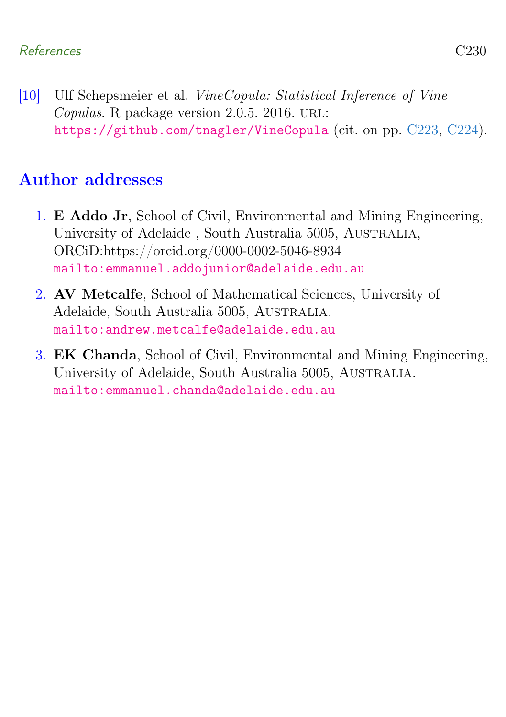<span id="page-14-3"></span>[10] Ulf Schepsmeier et al. VineCopula: Statistical Inference of Vine Copulas. R package version 2.0.5. 2016. URL: <https://github.com/tnagler/VineCopula> (cit. on pp. [C223,](#page-7-0) [C224\)](#page-8-1).

## Author addresses

- <span id="page-14-1"></span>1. E Addo Jr, School of Civil, Environmental and Mining Engineering, University of Adelaide , South Australia 5005, Australia, ORCiD:https://orcid.org/0000-0002-5046-8934 <mailto:emmanuel.addojunior@adelaide.edu.au>
- <span id="page-14-2"></span>2. AV Metcalfe, School of Mathematical Sciences, University of Adelaide, South Australia 5005, Australia. <mailto:andrew.metcalfe@adelaide.edu.au>
- <span id="page-14-0"></span>3. EK Chanda, School of Civil, Environmental and Mining Engineering, University of Adelaide, South Australia 5005, Australia. <mailto:emmanuel.chanda@adelaide.edu.au>